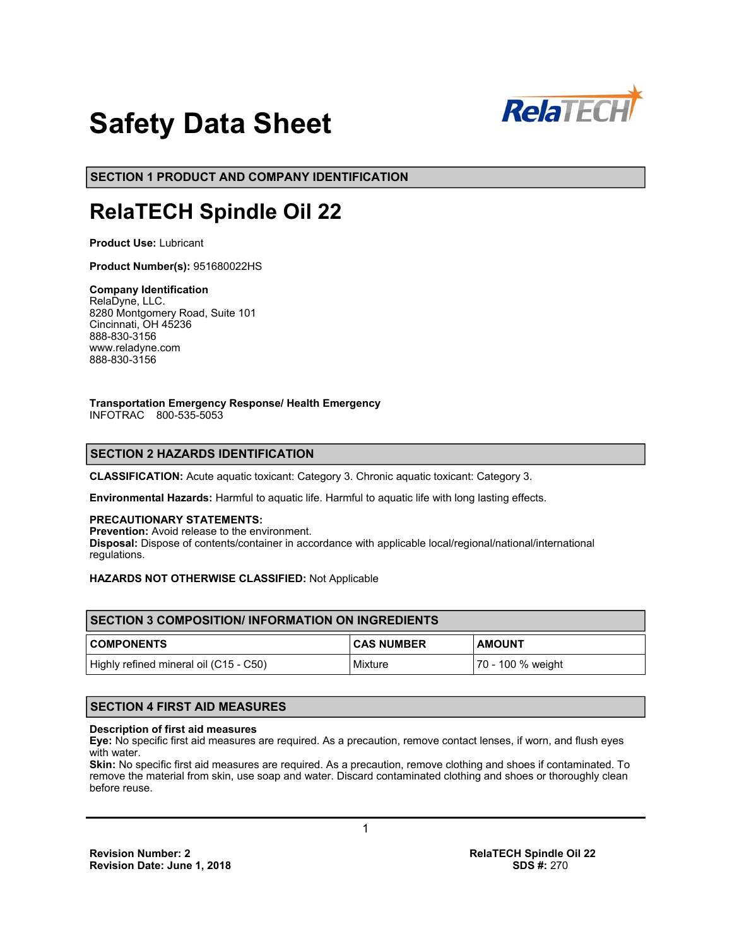

# **Safety Data Sheet**

**SECTION 1 PRODUCT AND COMPANY IDENTIFICATION**

## **RelaTECH Spindle Oil 22**

**Product Use:** Lubricant

**Product Number(s):** 951680022HS

#### **Company Identification**

RelaDyne, LLC. 8280 Montgomery Road, Suite 101 Cincinnati, OH 45236 888-830-3156 www.reladyne.com 888-830-3156

#### **Transportation Emergency Response/ Health Emergency**

INFOTRAC 800-535-5053

## **SECTION 2 HAZARDS IDENTIFICATION**

**CLASSIFICATION:** Acute aquatic toxicant: Category 3. Chronic aquatic toxicant: Category 3.

**Environmental Hazards:** Harmful to aquatic life. Harmful to aquatic life with long lasting effects.

#### **PRECAUTIONARY STATEMENTS:**

**Prevention:** Avoid release to the environment. **Disposal:** Dispose of contents/container in accordance with applicable local/regional/national/international regulations.

## **HAZARDS NOT OTHERWISE CLASSIFIED:** Not Applicable

| <b>ISECTION 3 COMPOSITION/INFORMATION ON INGREDIENTS</b> |                   |                   |  |
|----------------------------------------------------------|-------------------|-------------------|--|
| <b>COMPONENTS</b>                                        | <b>CAS NUMBER</b> | <b>AMOUNT</b>     |  |
| Highly refined mineral oil (C15 - C50)                   | Mixture           | 70 - 100 % weight |  |

## **SECTION 4 FIRST AID MEASURES**

#### **Description of first aid measures**

**Eye:** No specific first aid measures are required. As a precaution, remove contact lenses, if worn, and flush eyes with water.

**Skin:** No specific first aid measures are required. As a precaution, remove clothing and shoes if contaminated. To remove the material from skin, use soap and water. Discard contaminated clothing and shoes or thoroughly clean before reuse.

1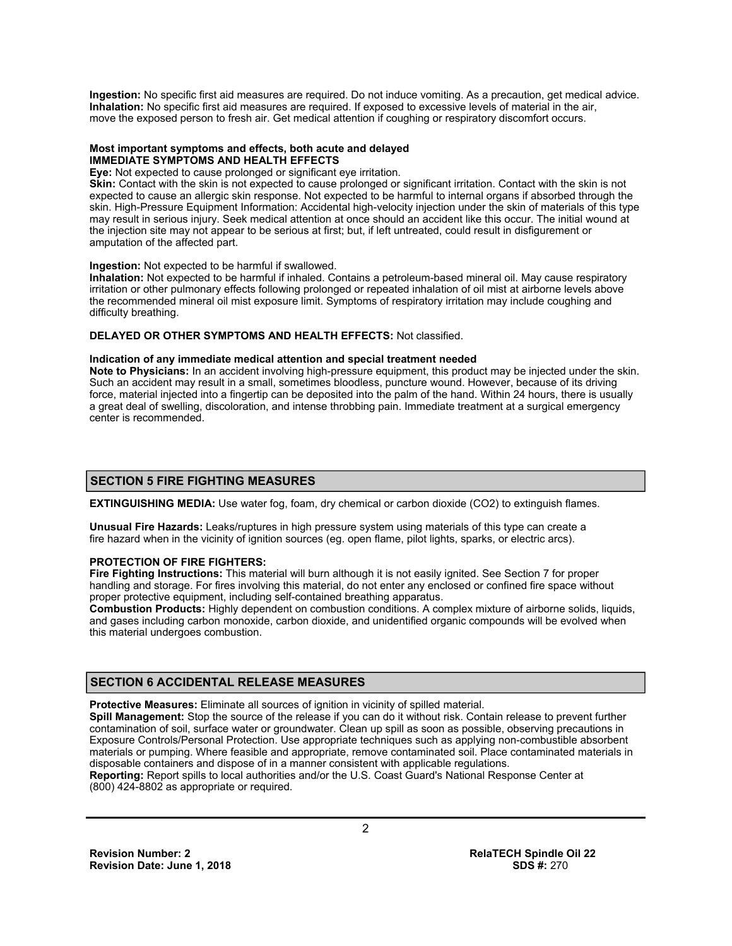**Ingestion:** No specific first aid measures are required. Do not induce vomiting. As a precaution, get medical advice. **Inhalation:** No specific first aid measures are required. If exposed to excessive levels of material in the air, move the exposed person to fresh air. Get medical attention if coughing or respiratory discomfort occurs.

#### **Most important symptoms and effects, both acute and delayed IMMEDIATE SYMPTOMS AND HEALTH EFFECTS**

**Eye:** Not expected to cause prolonged or significant eye irritation.

**Skin:** Contact with the skin is not expected to cause prolonged or significant irritation. Contact with the skin is not expected to cause an allergic skin response. Not expected to be harmful to internal organs if absorbed through the skin. High-Pressure Equipment Information: Accidental high-velocity injection under the skin of materials of this type may result in serious injury. Seek medical attention at once should an accident like this occur. The initial wound at the injection site may not appear to be serious at first; but, if left untreated, could result in disfigurement or amputation of the affected part.

#### **Ingestion:** Not expected to be harmful if swallowed.

**Inhalation:** Not expected to be harmful if inhaled. Contains a petroleum-based mineral oil. May cause respiratory irritation or other pulmonary effects following prolonged or repeated inhalation of oil mist at airborne levels above the recommended mineral oil mist exposure limit. Symptoms of respiratory irritation may include coughing and difficulty breathing.

#### **DELAYED OR OTHER SYMPTOMS AND HEALTH EFFECTS:** Not classified.

#### **Indication of any immediate medical attention and special treatment needed**

**Note to Physicians:** In an accident involving high-pressure equipment, this product may be injected under the skin. Such an accident may result in a small, sometimes bloodless, puncture wound. However, because of its driving force, material injected into a fingertip can be deposited into the palm of the hand. Within 24 hours, there is usually a great deal of swelling, discoloration, and intense throbbing pain. Immediate treatment at a surgical emergency center is recommended.

## **SECTION 5 FIRE FIGHTING MEASURES**

**EXTINGUISHING MEDIA:** Use water fog, foam, dry chemical or carbon dioxide (CO2) to extinguish flames.

**Unusual Fire Hazards:** Leaks/ruptures in high pressure system using materials of this type can create a fire hazard when in the vicinity of ignition sources (eg. open flame, pilot lights, sparks, or electric arcs).

#### **PROTECTION OF FIRE FIGHTERS:**

**Fire Fighting Instructions:** This material will burn although it is not easily ignited. See Section 7 for proper handling and storage. For fires involving this material, do not enter any enclosed or confined fire space without proper protective equipment, including self-contained breathing apparatus.

**Combustion Products:** Highly dependent on combustion conditions. A complex mixture of airborne solids, liquids, and gases including carbon monoxide, carbon dioxide, and unidentified organic compounds will be evolved when this material undergoes combustion.

## **SECTION 6 ACCIDENTAL RELEASE MEASURES**

**Protective Measures:** Eliminate all sources of ignition in vicinity of spilled material.

**Spill Management:** Stop the source of the release if you can do it without risk. Contain release to prevent further contamination of soil, surface water or groundwater. Clean up spill as soon as possible, observing precautions in Exposure Controls/Personal Protection. Use appropriate techniques such as applying non-combustible absorbent materials or pumping. Where feasible and appropriate, remove contaminated soil. Place contaminated materials in disposable containers and dispose of in a manner consistent with applicable regulations. **Reporting:** Report spills to local authorities and/or the U.S. Coast Guard's National Response Center at

(800) 424-8802 as appropriate or required.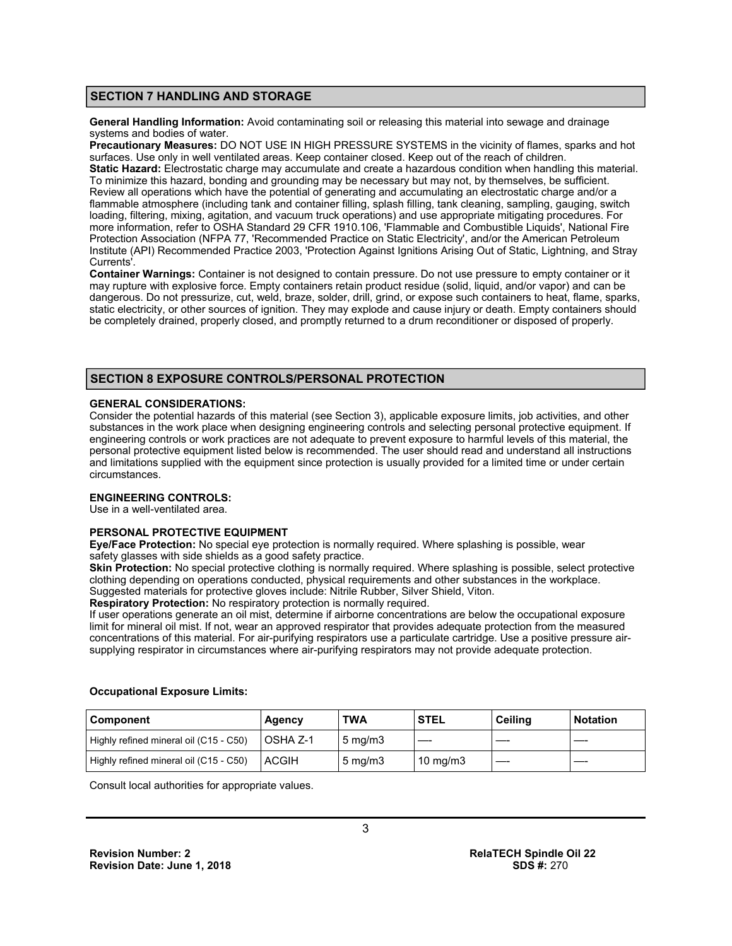## **SECTION 7 HANDLING AND STORAGE**

**General Handling Information:** Avoid contaminating soil or releasing this material into sewage and drainage systems and bodies of water.

**Precautionary Measures:** DO NOT USE IN HIGH PRESSURE SYSTEMS in the vicinity of flames, sparks and hot surfaces. Use only in well ventilated areas. Keep container closed. Keep out of the reach of children. **Static Hazard:** Electrostatic charge may accumulate and create a hazardous condition when handling this material. To minimize this hazard, bonding and grounding may be necessary but may not, by themselves, be sufficient. Review all operations which have the potential of generating and accumulating an electrostatic charge and/or a flammable atmosphere (including tank and container filling, splash filling, tank cleaning, sampling, gauging, switch loading, filtering, mixing, agitation, and vacuum truck operations) and use appropriate mitigating procedures. For more information, refer to OSHA Standard 29 CFR 1910.106, 'Flammable and Combustible Liquids', National Fire Protection Association (NFPA 77, 'Recommended Practice on Static Electricity', and/or the American Petroleum Institute (API) Recommended Practice 2003, 'Protection Against Ignitions Arising Out of Static, Lightning, and Stray Currents'.

**Container Warnings:** Container is not designed to contain pressure. Do not use pressure to empty container or it may rupture with explosive force. Empty containers retain product residue (solid, liquid, and/or vapor) and can be dangerous. Do not pressurize, cut, weld, braze, solder, drill, grind, or expose such containers to heat, flame, sparks, static electricity, or other sources of ignition. They may explode and cause injury or death. Empty containers should be completely drained, properly closed, and promptly returned to a drum reconditioner or disposed of properly.

## **SECTION 8 EXPOSURE CONTROLS/PERSONAL PROTECTION**

#### **GENERAL CONSIDERATIONS:**

Consider the potential hazards of this material (see Section 3), applicable exposure limits, job activities, and other substances in the work place when designing engineering controls and selecting personal protective equipment. If engineering controls or work practices are not adequate to prevent exposure to harmful levels of this material, the personal protective equipment listed below is recommended. The user should read and understand all instructions and limitations supplied with the equipment since protection is usually provided for a limited time or under certain circumstances.

#### **ENGINEERING CONTROLS:**

Use in a well-ventilated area.

## **PERSONAL PROTECTIVE EQUIPMENT**

**Eye/Face Protection:** No special eye protection is normally required. Where splashing is possible, wear safety glasses with side shields as a good safety practice.

**Skin Protection:** No special protective clothing is normally required. Where splashing is possible, select protective clothing depending on operations conducted, physical requirements and other substances in the workplace.

Suggested materials for protective gloves include: Nitrile Rubber, Silver Shield, Viton.

**Respiratory Protection:** No respiratory protection is normally required.

If user operations generate an oil mist, determine if airborne concentrations are below the occupational exposure limit for mineral oil mist. If not, wear an approved respirator that provides adequate protection from the measured concentrations of this material. For air-purifying respirators use a particulate cartridge. Use a positive pressure airsupplying respirator in circumstances where air-purifying respirators may not provide adequate protection.

| Component                              | Agency    | TWA                | <b>STEL</b>       | Ceilina | <b>Notation</b> |
|----------------------------------------|-----------|--------------------|-------------------|---------|-----------------|
| Highly refined mineral oil (C15 - C50) | LOSHA Z-1 | $5 \text{ ma/m}$ 3 |                   |         |                 |
| Highly refined mineral oil (C15 - C50) | ACGIH     | $5 \text{ mg/m}$   | $10 \text{ mg/m}$ |         |                 |

#### **Occupational Exposure Limits:**

Consult local authorities for appropriate values.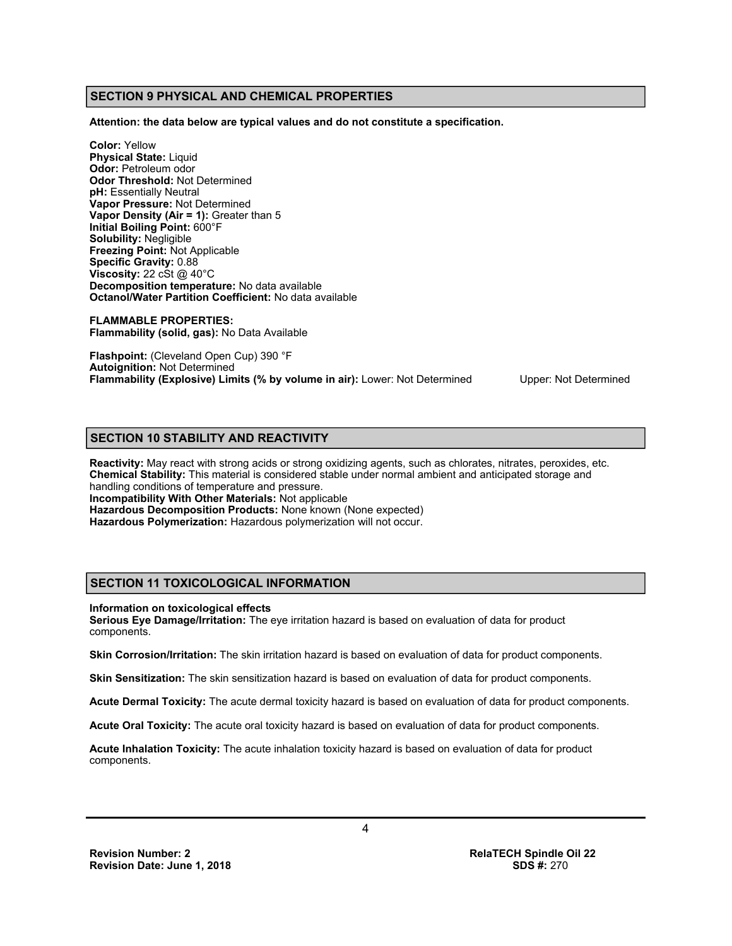## **SECTION 9 PHYSICAL AND CHEMICAL PROPERTIES**

**Attention: the data below are typical values and do not constitute a specification.** 

**Color:** Yellow **Physical State:** Liquid **Odor:** Petroleum odor **Odor Threshold:** Not Determined **pH:** Essentially Neutral **Vapor Pressure:** Not Determined **Vapor Density (Air = 1):** Greater than 5 **Initial Boiling Point:** 600°F **Solubility:** Negligible **Freezing Point:** Not Applicable **Specific Gravity:** 0.88 **Viscosity:** 22 cSt @ 40°C **Decomposition temperature:** No data available **Octanol/Water Partition Coefficient:** No data available

**FLAMMABLE PROPERTIES: Flammability (solid, gas):** No Data Available

**Flashpoint:** (Cleveland Open Cup) 390 °F **Autoignition:** Not Determined **Flammability (Explosive) Limits (% by volume in air):** Lower: Not Determined Upper: Not Determined

## **SECTION 10 STABILITY AND REACTIVITY**

**Reactivity:** May react with strong acids or strong oxidizing agents, such as chlorates, nitrates, peroxides, etc. **Chemical Stability:** This material is considered stable under normal ambient and anticipated storage and handling conditions of temperature and pressure. **Incompatibility With Other Materials:** Not applicable **Hazardous Decomposition Products:** None known (None expected) **Hazardous Polymerization:** Hazardous polymerization will not occur.

## **SECTION 11 TOXICOLOGICAL INFORMATION**

**Information on toxicological effects** 

**Serious Eye Damage/Irritation:** The eye irritation hazard is based on evaluation of data for product components.

**Skin Corrosion/Irritation:** The skin irritation hazard is based on evaluation of data for product components.

**Skin Sensitization:** The skin sensitization hazard is based on evaluation of data for product components.

**Acute Dermal Toxicity:** The acute dermal toxicity hazard is based on evaluation of data for product components.

**Acute Oral Toxicity:** The acute oral toxicity hazard is based on evaluation of data for product components.

**Acute Inhalation Toxicity:** The acute inhalation toxicity hazard is based on evaluation of data for product components.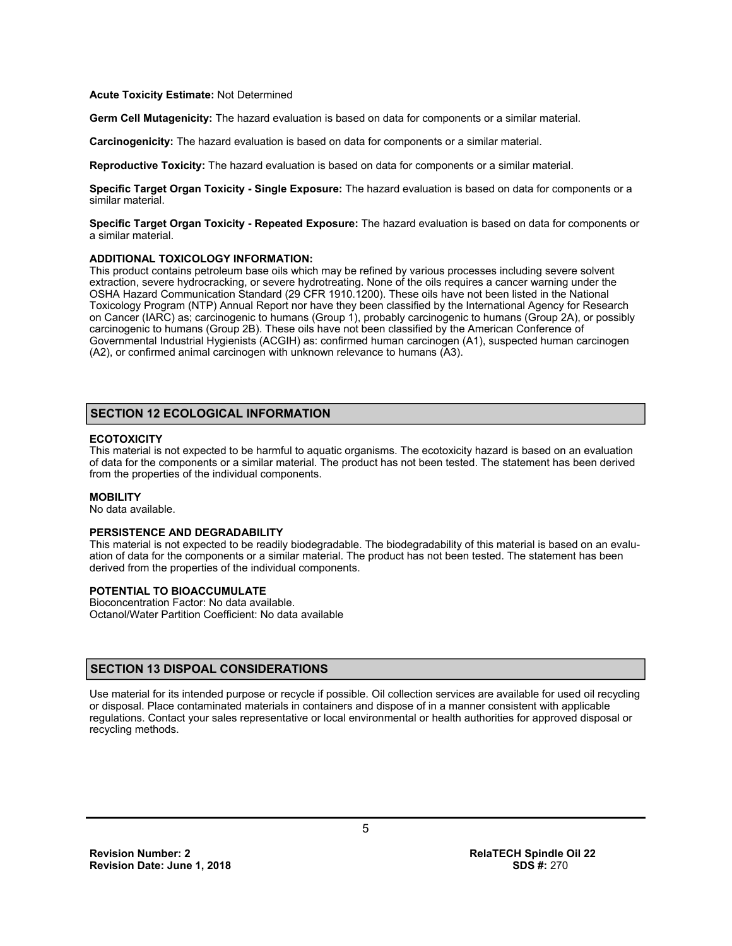#### **Acute Toxicity Estimate:** Not Determined

**Germ Cell Mutagenicity:** The hazard evaluation is based on data for components or a similar material.

**Carcinogenicity:** The hazard evaluation is based on data for components or a similar material.

**Reproductive Toxicity:** The hazard evaluation is based on data for components or a similar material.

**Specific Target Organ Toxicity - Single Exposure:** The hazard evaluation is based on data for components or a similar material.

**Specific Target Organ Toxicity - Repeated Exposure:** The hazard evaluation is based on data for components or a similar material.

#### **ADDITIONAL TOXICOLOGY INFORMATION:**

This product contains petroleum base oils which may be refined by various processes including severe solvent extraction, severe hydrocracking, or severe hydrotreating. None of the oils requires a cancer warning under the OSHA Hazard Communication Standard (29 CFR 1910.1200). These oils have not been listed in the National Toxicology Program (NTP) Annual Report nor have they been classified by the International Agency for Research on Cancer (IARC) as; carcinogenic to humans (Group 1), probably carcinogenic to humans (Group 2A), or possibly carcinogenic to humans (Group 2B). These oils have not been classified by the American Conference of Governmental Industrial Hygienists (ACGIH) as: confirmed human carcinogen (A1), suspected human carcinogen (A2), or confirmed animal carcinogen with unknown relevance to humans (A3).

## **SECTION 12 ECOLOGICAL INFORMATION**

#### **ECOTOXICITY**

This material is not expected to be harmful to aquatic organisms. The ecotoxicity hazard is based on an evaluation of data for the components or a similar material. The product has not been tested. The statement has been derived from the properties of the individual components.

#### **MOBILITY**

No data available.

#### **PERSISTENCE AND DEGRADABILITY**

This material is not expected to be readily biodegradable. The biodegradability of this material is based on an evaluation of data for the components or a similar material. The product has not been tested. The statement has been derived from the properties of the individual components.

#### **POTENTIAL TO BIOACCUMULATE**

Bioconcentration Factor: No data available. Octanol/Water Partition Coefficient: No data available

## **SECTION 13 DISPOAL CONSIDERATIONS**

Use material for its intended purpose or recycle if possible. Oil collection services are available for used oil recycling or disposal. Place contaminated materials in containers and dispose of in a manner consistent with applicable regulations. Contact your sales representative or local environmental or health authorities for approved disposal or recycling methods.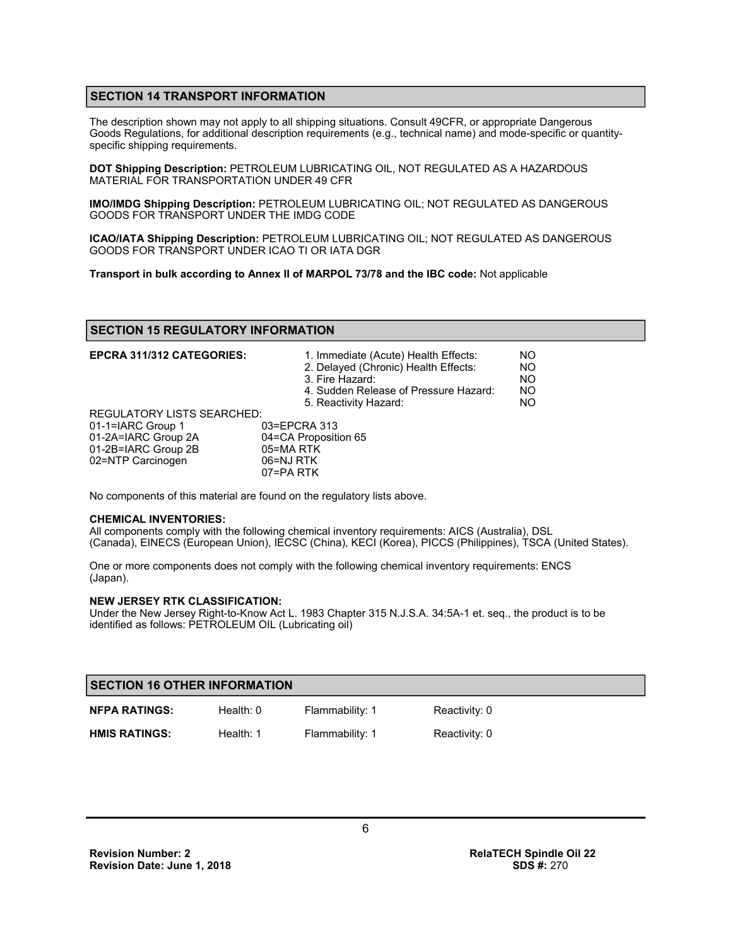## **SECTION 14 TRANSPORT INFORMATION**

The description shown may not apply to all shipping situations. Consult 49CFR, or appropriate Dangerous Goods Regulations, for additional description requirements (e.g., technical name) and mode-specific or quantityspecific shipping requirements.

**DOT Shipping Description:** PETROLEUM LUBRICATING OIL, NOT REGULATED AS A HAZARDOUS MATERIAL FOR TRANSPORTATION UNDER 49 CFR

**IMO/IMDG Shipping Description:** PETROLEUM LUBRICATING OIL; NOT REGULATED AS DANGEROUS GOODS FOR TRANSPORT UNDER THE IMDG CODE

**ICAO/IATA Shipping Description:** PETROLEUM LUBRICATING OIL; NOT REGULATED AS DANGEROUS GOODS FOR TRANSPORT UNDER ICAO TI OR IATA DGR

**Transport in bulk according to Annex II of MARPOL 73/78 and the IBC code:** Not applicable

## **SECTION 15 REGULATORY INFORMATION**

| <b>EPCRA 311/312 CATEGORIES:</b>  | 1. Immediate (Acute) Health Effects:<br>2. Delayed (Chronic) Health Effects:<br>3. Fire Hazard:<br>4. Sudden Release of Pressure Hazard:<br>5. Reactivity Hazard: | NO.<br>N <sub>O</sub><br><b>NO</b><br><b>NO</b><br>NO. |
|-----------------------------------|-------------------------------------------------------------------------------------------------------------------------------------------------------------------|--------------------------------------------------------|
| <b>REGULATORY LISTS SEARCHED:</b> |                                                                                                                                                                   |                                                        |
| 01-1=IARC Group 1                 | 03=EPCRA 313                                                                                                                                                      |                                                        |
| 01-2A=IARC Group 2A               | 04=CA Proposition 65                                                                                                                                              |                                                        |
| 01-2B=IARC Group 2B               | 05=MA RTK                                                                                                                                                         |                                                        |
| 02=NTP Carcinogen                 | 06=NJ RTK                                                                                                                                                         |                                                        |
|                                   | 07=PA RTK                                                                                                                                                         |                                                        |

No components of this material are found on the regulatory lists above.

#### **CHEMICAL INVENTORIES:**

All components comply with the following chemical inventory requirements: AICS (Australia), DSL (Canada), EINECS (European Union), IECSC (China), KECI (Korea), PICCS (Philippines), TSCA (United States).

One or more components does not comply with the following chemical inventory requirements: ENCS (Japan).

#### **NEW JERSEY RTK CLASSIFICATION:**

Under the New Jersey Right-to-Know Act L. 1983 Chapter 315 N.J.S.A. 34:5A-1 et. seq., the product is to be identified as follows: PETROLEUM OIL (Lubricating oil)

| <b>SECTION 16 OTHER INFORMATION</b> |             |                 |               |
|-------------------------------------|-------------|-----------------|---------------|
| <b>NFPA RATINGS:</b>                | Health: $0$ | Flammability: 1 | Reactivity: 0 |
| <b>HMIS RATINGS:</b>                | Health: 1   | Flammability: 1 | Reactivity: 0 |